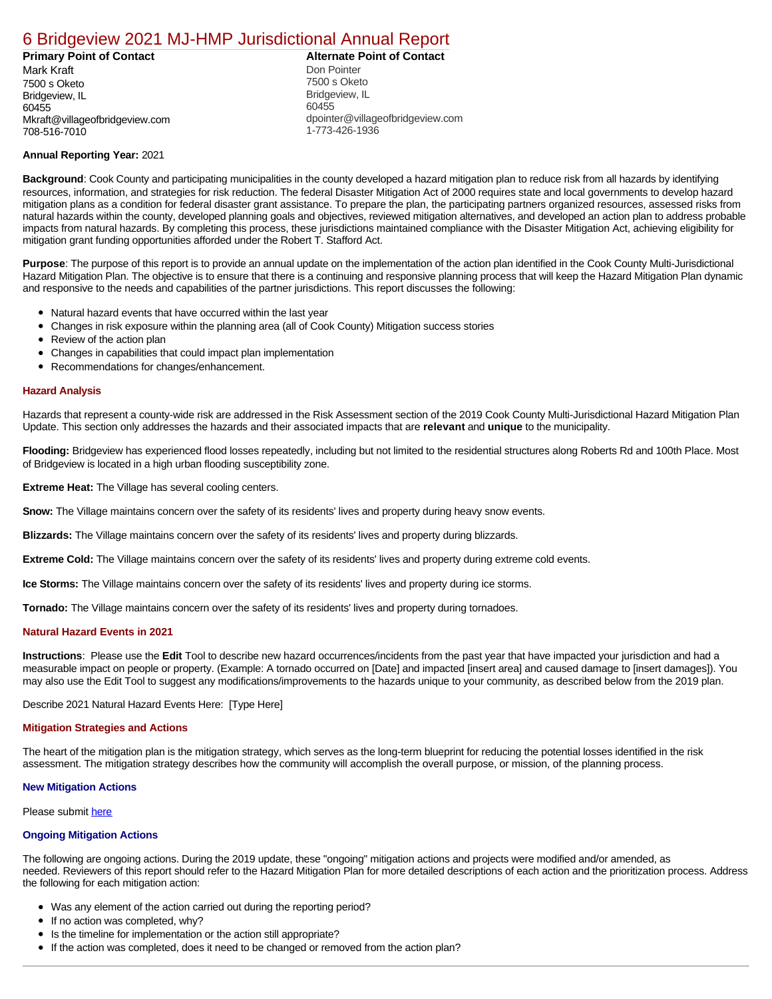# [6 Bridgeview 2021 MJ-HMP Jurisdictional Annual Report](https://bridgeview.isc-cemp.com/Cemp/Details?id=8322815)

**Primary Point of Contact Alternate Point of Contact** Mark Kraft 7500 s Oketo Bridgeview, IL 60455 Mkraft@villageofbridgeview.com 708-516-7010

Don Pointer 7500 s Oketo Bridgeview, IL 60455 dpointer@villageofbridgeview.com 1-773-426-1936

## **Annual Reporting Year:** 2021

**Background**: Cook County and participating municipalities in the county developed a hazard mitigation plan to reduce risk from all hazards by identifying resources, information, and strategies for risk reduction. The federal Disaster Mitigation Act of 2000 requires state and local governments to develop hazard mitigation plans as a condition for federal disaster grant assistance. To prepare the plan, the participating partners organized resources, assessed risks from natural hazards within the county, developed planning goals and objectives, reviewed mitigation alternatives, and developed an action plan to address probable impacts from natural hazards. By completing this process, these jurisdictions maintained compliance with the Disaster Mitigation Act, achieving eligibility for mitigation grant funding opportunities afforded under the Robert T. Stafford Act.

**Purpose**: The purpose of this report is to provide an annual update on the implementation of the action plan identified in the Cook County Multi-Jurisdictional Hazard Mitigation Plan. The objective is to ensure that there is a continuing and responsive planning process that will keep the Hazard Mitigation Plan dynamic and responsive to the needs and capabilities of the partner jurisdictions. This report discusses the following:

- Natural hazard events that have occurred within the last year
- $\bullet$ Changes in risk exposure within the planning area (all of Cook County) Mitigation success stories
- $\bullet$ Review of the action plan
- $\bullet$ Changes in capabilities that could impact plan implementation
- Recommendations for changes/enhancement.

#### **Hazard Analysis**

Hazards that represent a county-wide risk are addressed in the Risk Assessment section of the 2019 Cook County Multi-Jurisdictional Hazard Mitigation Plan Update. This section only addresses the hazards and their associated impacts that are **relevant** and **unique** to the municipality.

**Flooding:** Bridgeview has experienced flood losses repeatedly, including but not limited to the residential structures along Roberts Rd and 100th Place. Most of Bridgeview is located in a high urban flooding susceptibility zone.

**Extreme Heat:** The Village has several cooling centers.

**Snow:** The Village maintains concern over the safety of its residents' lives and property during heavy snow events.

**Blizzards:** The Village maintains concern over the safety of its residents' lives and property during blizzards.

**Extreme Cold:** The Village maintains concern over the safety of its residents' lives and property during extreme cold events.

**Ice Storms:** The Village maintains concern over the safety of its residents' lives and property during ice storms.

**Tornado:** The Village maintains concern over the safety of its residents' lives and property during tornadoes.

## **Natural Hazard Events in 2021**

**Instructions**: Please use the **Edit** Tool to describe new hazard occurrences/incidents from the past year that have impacted your jurisdiction and had a measurable impact on people or property. (Example: A tornado occurred on [Date] and impacted [insert area] and caused damage to [insert damages]). You may also use the Edit Tool to suggest any modifications/improvements to the hazards unique to your community, as described below from the 2019 plan.

Describe 2021 Natural Hazard Events Here: [Type Here]

#### **Mitigation Strategies and Actions**

The heart of the mitigation plan is the mitigation strategy, which serves as the long-term blueprint for reducing the potential losses identified in the risk assessment. The mitigation strategy describes how the community will accomplish the overall purpose, or mission, of the planning process.

## **New Mitigation Actions**

Please submit [here](https://integratedsolutions.wufoo.com/forms/mg21jvf0jn639o/)

#### **Ongoing Mitigation Actions**

The following are ongoing actions. During the 2019 update, these "ongoing" mitigation actions and projects were modified and/or amended, as needed. Reviewers of this report should refer to the Hazard Mitigation Plan for more detailed descriptions of each action and the prioritization process. Address the following for each mitigation action:

- Was any element of the action carried out during the reporting period?
- If no action was completed, why?
- Is the timeline for implementation or the action still appropriate?
- $\bullet$ If the action was completed, does it need to be changed or removed from the action plan?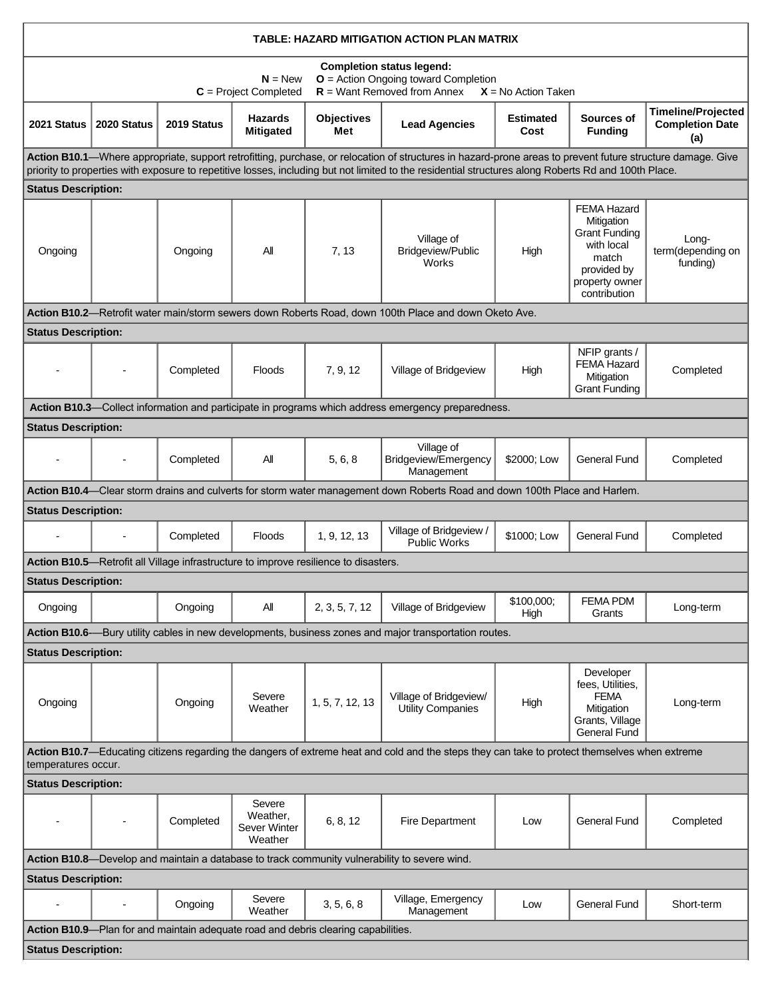| TABLE: HAZARD MITIGATION ACTION PLAN MATRIX                                                                                                                                                                                                                                                                        |                |             |                                               |                                                                                      |                                                                                                                            |                          |                                                                                                                           |                                                            |  |  |  |  |
|--------------------------------------------------------------------------------------------------------------------------------------------------------------------------------------------------------------------------------------------------------------------------------------------------------------------|----------------|-------------|-----------------------------------------------|--------------------------------------------------------------------------------------|----------------------------------------------------------------------------------------------------------------------------|--------------------------|---------------------------------------------------------------------------------------------------------------------------|------------------------------------------------------------|--|--|--|--|
| <b>Completion status legend:</b><br>$O =$ Action Ongoing toward Completion<br>$N = New$<br>$R =$ Want Removed from Annex<br>$C = Project Completed$<br>$X = No$ Action Taken                                                                                                                                       |                |             |                                               |                                                                                      |                                                                                                                            |                          |                                                                                                                           |                                                            |  |  |  |  |
| 2021 Status                                                                                                                                                                                                                                                                                                        | 2020 Status    | 2019 Status | <b>Hazards</b><br><b>Mitigated</b>            | <b>Objectives</b><br>Met                                                             | <b>Lead Agencies</b>                                                                                                       | <b>Estimated</b><br>Cost | Sources of<br><b>Funding</b>                                                                                              | <b>Timeline/Projected</b><br><b>Completion Date</b><br>(a) |  |  |  |  |
| Action B10.1-Where appropriate, support retrofitting, purchase, or relocation of structures in hazard-prone areas to prevent future structure damage. Give<br>priority to properties with exposure to repetitive losses, including but not limited to the residential structures along Roberts Rd and 100th Place. |                |             |                                               |                                                                                      |                                                                                                                            |                          |                                                                                                                           |                                                            |  |  |  |  |
| <b>Status Description:</b>                                                                                                                                                                                                                                                                                         |                |             |                                               |                                                                                      |                                                                                                                            |                          |                                                                                                                           |                                                            |  |  |  |  |
| Ongoing                                                                                                                                                                                                                                                                                                            |                | Ongoing     | All                                           | 7, 13                                                                                | Village of<br>Bridgeview/Public<br>Works                                                                                   | High                     | FEMA Hazard<br>Mitigation<br><b>Grant Funding</b><br>with local<br>match<br>provided by<br>property owner<br>contribution | Long-<br>term(depending on<br>funding)                     |  |  |  |  |
|                                                                                                                                                                                                                                                                                                                    |                |             |                                               |                                                                                      | Action B10.2-Retrofit water main/storm sewers down Roberts Road, down 100th Place and down Oketo Ave.                      |                          |                                                                                                                           |                                                            |  |  |  |  |
| <b>Status Description:</b>                                                                                                                                                                                                                                                                                         |                | Completed   | <b>Floods</b>                                 | 7, 9, 12                                                                             | Village of Bridgeview                                                                                                      | High                     | NFIP grants /<br><b>FEMA Hazard</b><br>Mitigation<br><b>Grant Funding</b>                                                 | Completed                                                  |  |  |  |  |
| Action B10.3—Collect information and participate in programs which address emergency preparedness.                                                                                                                                                                                                                 |                |             |                                               |                                                                                      |                                                                                                                            |                          |                                                                                                                           |                                                            |  |  |  |  |
| <b>Status Description:</b>                                                                                                                                                                                                                                                                                         |                |             |                                               |                                                                                      |                                                                                                                            |                          |                                                                                                                           |                                                            |  |  |  |  |
| $\blacksquare$                                                                                                                                                                                                                                                                                                     | $\overline{a}$ | Completed   | All                                           | 5, 6, 8                                                                              | Village of<br>Bridgeview/Emergency<br>Management                                                                           | \$2000; Low              | <b>General Fund</b>                                                                                                       | Completed                                                  |  |  |  |  |
|                                                                                                                                                                                                                                                                                                                    |                |             |                                               |                                                                                      | Action B10.4—Clear storm drains and culverts for storm water management down Roberts Road and down 100th Place and Harlem. |                          |                                                                                                                           |                                                            |  |  |  |  |
| <b>Status Description:</b>                                                                                                                                                                                                                                                                                         |                |             |                                               |                                                                                      |                                                                                                                            |                          |                                                                                                                           |                                                            |  |  |  |  |
| $\blacksquare$                                                                                                                                                                                                                                                                                                     |                | Completed   | <b>Floods</b>                                 | 1, 9, 12, 13                                                                         | Village of Bridgeview /<br>Public Works                                                                                    | \$1000; Low              | <b>General Fund</b>                                                                                                       | Completed                                                  |  |  |  |  |
|                                                                                                                                                                                                                                                                                                                    |                |             |                                               | Action B10.5-Retrofit all Village infrastructure to improve resilience to disasters. |                                                                                                                            |                          |                                                                                                                           |                                                            |  |  |  |  |
| <b>Status Description:</b>                                                                                                                                                                                                                                                                                         |                |             |                                               |                                                                                      |                                                                                                                            |                          |                                                                                                                           |                                                            |  |  |  |  |
| Ongoing                                                                                                                                                                                                                                                                                                            |                | Ongoing     | All                                           | 2, 3, 5, 7, 12                                                                       | Village of Bridgeview                                                                                                      | \$100,000;<br>High       | <b>FEMA PDM</b><br>Grants                                                                                                 | Long-term                                                  |  |  |  |  |
|                                                                                                                                                                                                                                                                                                                    |                |             |                                               |                                                                                      | Action B10.6—Bury utility cables in new developments, business zones and major transportation routes.                      |                          |                                                                                                                           |                                                            |  |  |  |  |
| <b>Status Description:</b>                                                                                                                                                                                                                                                                                         |                |             |                                               |                                                                                      |                                                                                                                            |                          |                                                                                                                           |                                                            |  |  |  |  |
| Ongoing                                                                                                                                                                                                                                                                                                            |                | Ongoing     | Severe<br>Weather                             | 1, 5, 7, 12, 13                                                                      | Village of Bridgeview/<br>Utility Companies                                                                                | High                     | Developer<br>fees, Utilities,<br><b>FEMA</b><br>Mitigation<br>Grants, Village<br><b>General Fund</b>                      | Long-term                                                  |  |  |  |  |
| Action B10.7—Educating citizens regarding the dangers of extreme heat and cold and the steps they can take to protect themselves when extreme<br>temperatures occur.                                                                                                                                               |                |             |                                               |                                                                                      |                                                                                                                            |                          |                                                                                                                           |                                                            |  |  |  |  |
| <b>Status Description:</b>                                                                                                                                                                                                                                                                                         |                |             |                                               |                                                                                      |                                                                                                                            |                          |                                                                                                                           |                                                            |  |  |  |  |
|                                                                                                                                                                                                                                                                                                                    |                | Completed   | Severe<br>Weather,<br>Sever Winter<br>Weather | 6, 8, 12                                                                             | Fire Department                                                                                                            | Low                      | <b>General Fund</b>                                                                                                       | Completed                                                  |  |  |  |  |
| Action B10.8—Develop and maintain a database to track community vulnerability to severe wind.                                                                                                                                                                                                                      |                |             |                                               |                                                                                      |                                                                                                                            |                          |                                                                                                                           |                                                            |  |  |  |  |
| <b>Status Description:</b>                                                                                                                                                                                                                                                                                         |                |             |                                               |                                                                                      |                                                                                                                            |                          |                                                                                                                           |                                                            |  |  |  |  |
|                                                                                                                                                                                                                                                                                                                    |                | Ongoing     | Severe<br>Weather                             | 3, 5, 6, 8                                                                           | Village, Emergency<br>Management                                                                                           | Low                      | <b>General Fund</b>                                                                                                       | Short-term                                                 |  |  |  |  |
| Action B10.9-Plan for and maintain adequate road and debris clearing capabilities.                                                                                                                                                                                                                                 |                |             |                                               |                                                                                      |                                                                                                                            |                          |                                                                                                                           |                                                            |  |  |  |  |
| <b>Status Description:</b>                                                                                                                                                                                                                                                                                         |                |             |                                               |                                                                                      |                                                                                                                            |                          |                                                                                                                           |                                                            |  |  |  |  |